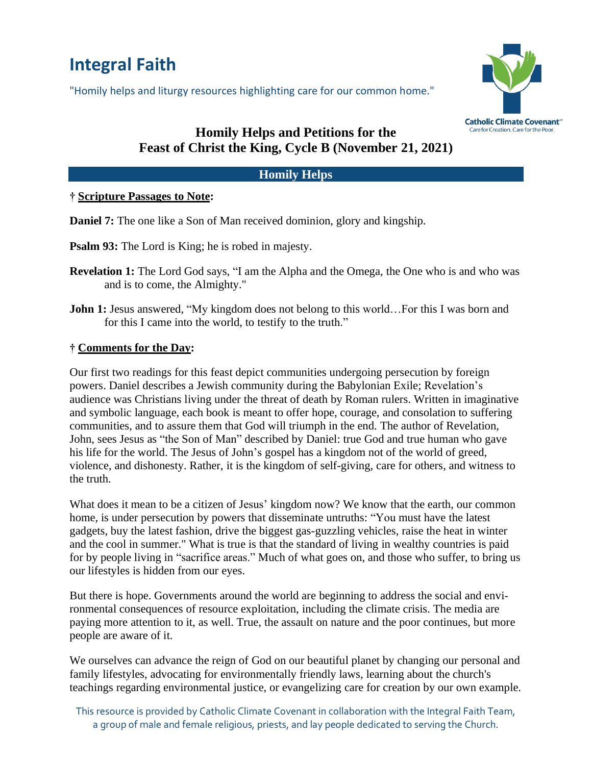# **Integral Faith**

"Homily helps and liturgy resources highlighting care for our common home."



# **Homily Helps and Petitions for the Feast of Christ the King, Cycle B (November 21, 2021)**

## **Homily Helps**

#### **† Scripture Passages to Note:**

**Daniel 7:** The one like a Son of Man received dominion, glory and kingship.

**Psalm 93:** The Lord is King; he is robed in majesty.

- **Revelation 1:** The Lord God says, "I am the Alpha and the Omega, the One who is and who was and is to come, the Almighty."
- **John 1:** Jesus answered, "My kingdom does not belong to this world... For this I was born and for this I came into the world, to testify to the truth."

#### **† Comments for the Day:**

Our first two readings for this feast depict communities undergoing persecution by foreign powers. Daniel describes a Jewish community during the Babylonian Exile; Revelation's audience was Christians living under the threat of death by Roman rulers. Written in imaginative and symbolic language, each book is meant to offer hope, courage, and consolation to suffering communities, and to assure them that God will triumph in the end. The author of Revelation, John, sees Jesus as "the Son of Man" described by Daniel: true God and true human who gave his life for the world. The Jesus of John's gospel has a kingdom not of the world of greed, violence, and dishonesty. Rather, it is the kingdom of self-giving, care for others, and witness to the truth.

What does it mean to be a citizen of Jesus' kingdom now? We know that the earth, our common home, is under persecution by powers that disseminate untruths: "You must have the latest gadgets, buy the latest fashion, drive the biggest gas-guzzling vehicles, raise the heat in winter and the cool in summer." What is true is that the standard of living in wealthy countries is paid for by people living in "sacrifice areas." Much of what goes on, and those who suffer, to bring us our lifestyles is hidden from our eyes.

But there is hope. Governments around the world are beginning to address the social and environmental consequences of resource exploitation, including the climate crisis. The media are paying more attention to it, as well. True, the assault on nature and the poor continues, but more people are aware of it.

We ourselves can advance the reign of God on our beautiful planet by changing our personal and family lifestyles, advocating for environmentally friendly laws, learning about the church's teachings regarding environmental justice, or evangelizing care for creation by our own example.

This resource is provided by Catholic Climate Covenant in collaboration with the Integral Faith Team, a group of male and female religious, priests, and lay people dedicated to serving the Church.